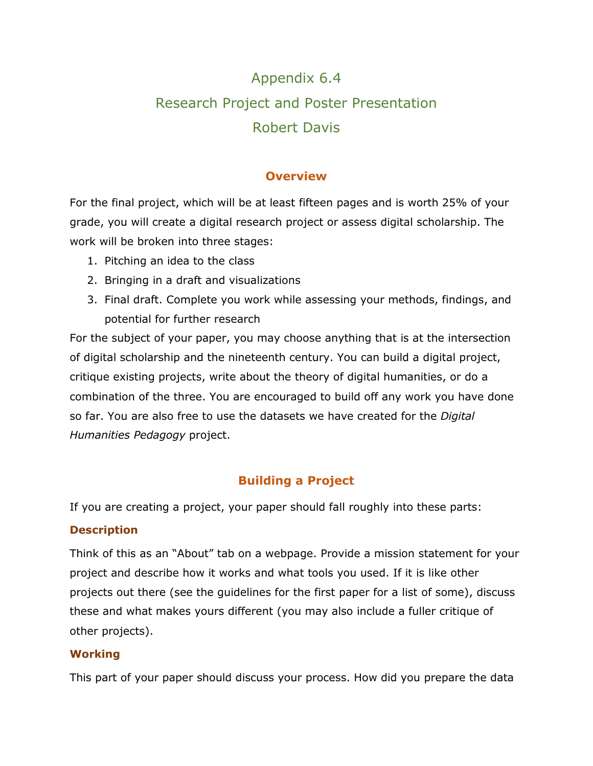# Appendix 6.4 Research Project and Poster Presentation Robert Davis

## **Overview**

For the final project, which will be at least fifteen pages and is worth 25% of your grade, you will create a digital research project or assess digital scholarship. The work will be broken into three stages:

- 1. Pitching an idea to the class
- 2. Bringing in a draft and visualizations
- 3. Final draft. Complete you work while assessing your methods, findings, and potential for further research

For the subject of your paper, you may choose anything that is at the intersection of digital scholarship and the nineteenth century. You can build a digital project, critique existing projects, write about the theory of digital humanities, or do a combination of the three. You are encouraged to build off any work you have done so far. You are also free to use the datasets we have created for the *Digital Humanities Pedagogy* project.

# **Building a Project**

If you are creating a project, your paper should fall roughly into these parts:

#### **Description**

Think of this as an "About" tab on a webpage. Provide a mission statement for your project and describe how it works and what tools you used. If it is like other projects out there (see the guidelines for the first paper for a list of some), discuss these and what makes yours different (you may also include a fuller critique of other projects).

#### **Working**

This part of your paper should discuss your process. How did you prepare the data